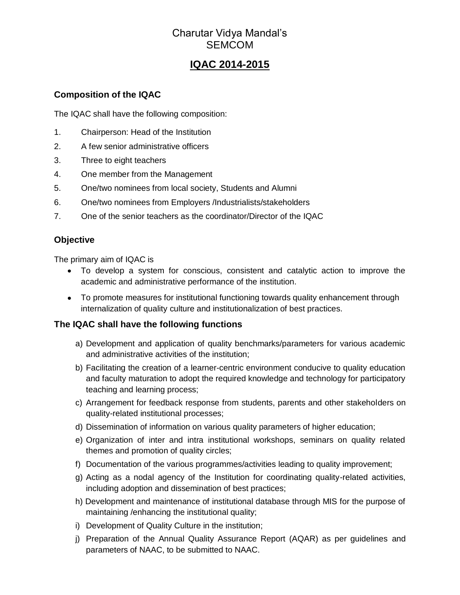## Charutar Vidya Mandal's **SEMCOM**

# **IQAC 2014-2015**

#### **Composition of the IQAC**

The IQAC shall have the following composition:

- 1. Chairperson: Head of the Institution
- 2. A few senior administrative officers
- 3. Three to eight teachers
- 4. One member from the Management
- 5. One/two nominees from local society, Students and Alumni
- 6. One/two nominees from Employers /Industrialists/stakeholders
- 7. One of the senior teachers as the coordinator/Director of the IQAC

#### **Objective**

The primary aim of IQAC is

- To develop a system for conscious, consistent and catalytic action to improve the academic and administrative performance of the institution.
- To promote measures for institutional functioning towards quality enhancement through internalization of quality culture and institutionalization of best practices.

#### **The IQAC shall have the following functions**

- a) Development and application of quality benchmarks/parameters for various academic and administrative activities of the institution;
- b) Facilitating the creation of a learner-centric environment conducive to quality education and faculty maturation to adopt the required knowledge and technology for participatory teaching and learning process;
- c) Arrangement for feedback response from students, parents and other stakeholders on quality-related institutional processes;
- d) Dissemination of information on various quality parameters of higher education;
- e) Organization of inter and intra institutional workshops, seminars on quality related themes and promotion of quality circles;
- f) Documentation of the various programmes/activities leading to quality improvement;
- g) Acting as a nodal agency of the Institution for coordinating quality-related activities, including adoption and dissemination of best practices;
- h) Development and maintenance of institutional database through MIS for the purpose of maintaining /enhancing the institutional quality;
- i) Development of Quality Culture in the institution;
- j) Preparation of the Annual Quality Assurance Report (AQAR) as per guidelines and parameters of NAAC, to be submitted to NAAC.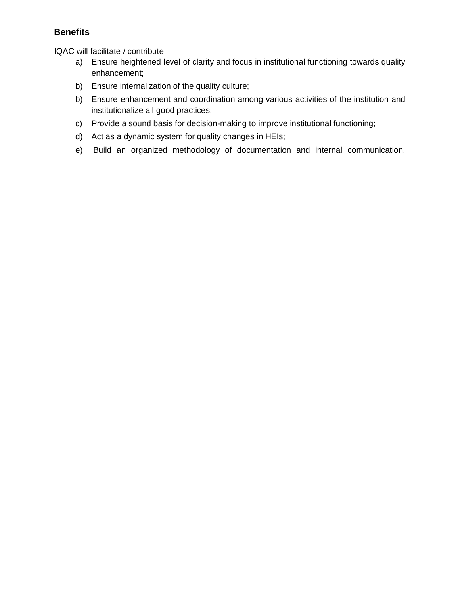#### **Benefits**

IQAC will facilitate / contribute

- a) Ensure heightened level of clarity and focus in institutional functioning towards quality enhancement;
- b) Ensure internalization of the quality culture;
- b) Ensure enhancement and coordination among various activities of the institution and institutionalize all good practices;
- c) Provide a sound basis for decision-making to improve institutional functioning;
- d) Act as a dynamic system for quality changes in HEIs;
- e) Build an organized methodology of documentation and internal communication.